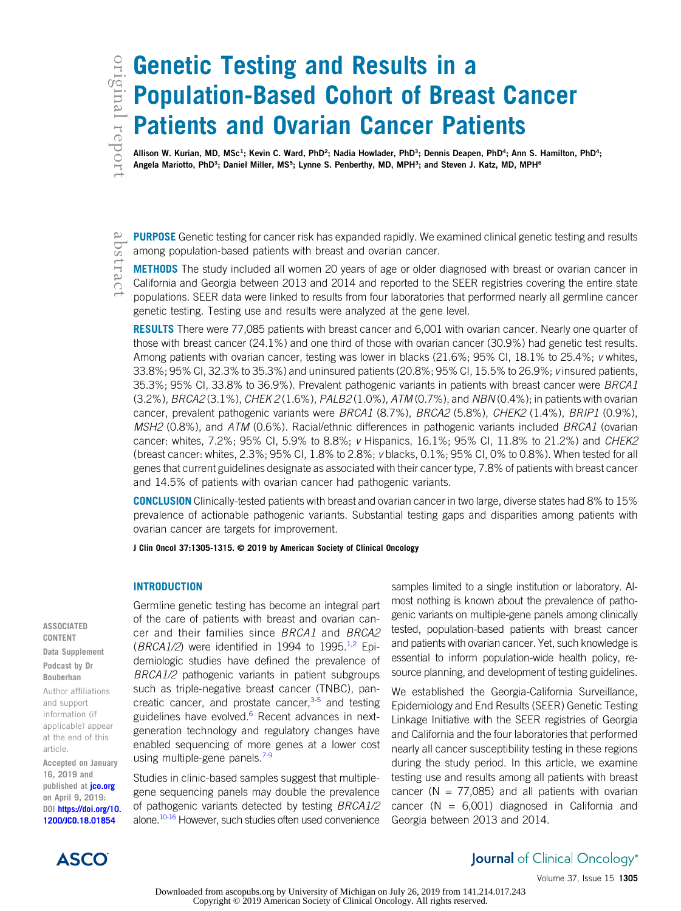# original

# **Genetic Testing and Results in a**<br> **EXECUTE:** Population-Based Cohort of Brea<br> **Patients and Ovarian Cancer Pat<br>
Allison W. Kurian, MD, MSc<sup>1</sup>; Kevin C. Ward, PhD<sup>2</sup>; Nadia Howlader, PhD<sup>3</sup>; Dennis Deape<br>
Angela Mariotto** Population-Based Cohort of Breast Cancer Patients and Ovarian Cancer Patients

Allison W. Kurian, MD, MSc<sup>1</sup>; Kevin C. Ward, PhD<sup>2</sup>; Nadia Howlader, PhD<sup>3</sup>; Dennis Deapen, PhD<sup>4</sup>; Ann S. Hamilton, PhD<sup>4</sup>; Angela Mariotto, PhD<sup>3</sup>; Daniel Miller, MS<sup>5</sup>; Lynne S. Penberthy, MD, MPH<sup>3</sup>; and Steven J. Katz, MD, MPH<sup>6</sup>

PURPOSE Genetic testing for cancer risk has expanded rapidly. We examined clinical genetic testing and results among population-based patients with breast and ovarian cancer.

METHODS The study included all women 20 years of age or older diagnosed with breast or ovarian cancer in California and Georgia between 2013 and 2014 and reported to the SEER registries covering the entire state populations. SEER data were linked to results from four laboratories that performed nearly all germline cancer genetic testing. Testing use and results were analyzed at the gene level.

RESULTS There were 77,085 patients with breast cancer and 6,001 with ovarian cancer. Nearly one quarter of those with breast cancer (24.1%) and one third of those with ovarian cancer (30.9%) had genetic test results. Among patients with ovarian cancer, testing was lower in blacks (21.6%; 95% CI, 18.1% to 25.4%; v whites, 33.8%; 95% CI, 32.3% to 35.3%) and uninsured patients (20.8%; 95% CI, 15.5% to 26.9%; v insured patients, 35.3%; 95% CI, 33.8% to 36.9%). Prevalent pathogenic variants in patients with breast cancer were BRCA1 (3.2%), BRCA2 (3.1%), CHEK 2 (1.6%), PALB2 (1.0%), ATM (0.7%), and NBN (0.4%); in patients with ovarian cancer, prevalent pathogenic variants were BRCA1 (8.7%), BRCA2 (5.8%), CHEK2 (1.4%), BRIP1 (0.9%), MSH2 (0.8%), and ATM (0.6%). Racial/ethnic differences in pathogenic variants included BRCA1 (ovarian cancer: whites,  $7.2\%$ ;  $95\%$  CI,  $5.9\%$  to  $8.8\%$ ; v Hispanics,  $16.1\%$ ;  $95\%$  CI,  $11.8\%$  to  $21.2\%$ ) and *CHEK2* (breast cancer: whites, 2.3%; 95% CI, 1.8% to 2.8%; v blacks, 0.1%; 95% CI, 0% to 0.8%). When tested for all genes that current guidelines designate as associated with their cancer type, 7.8% of patients with breast cancer and 14.5% of patients with ovarian cancer had pathogenic variants.

CONCLUSION Clinically-tested patients with breast and ovarian cancer in two large, diverse states had 8% to 15% prevalence of actionable pathogenic variants. Substantial testing gaps and disparities among patients with ovarian cancer are targets for improvement.

J Clin Oncol 37:1305-1315. © 2019 by American Society of Clinical Oncology

# INTRODUCTION

Germline genetic testing has become an integral part of the care of patients with breast and ovarian cancer and their families since BRCA1 and BRCA2  $(BRCA1/2)$  were identified in 1994 to 1995.<sup>[1,2](#page-9-0)</sup> Epidemiologic studies have defined the prevalence of BRCA1/2 pathogenic variants in patient subgroups such as triple-negative breast cancer (TNBC), pancreatic cancer, and prostate cancer, $3-5$  and testing guidelines have evolved.<sup>[6](#page-9-0)</sup> Recent advances in nextgeneration technology and regulatory changes have enabled sequencing of more genes at a lower cost using multiple-gene panels. $7-9$ 

Studies in clinic-based samples suggest that multiplegene sequencing panels may double the prevalence of pathogenic variants detected by testing BRCA1/2 alone.<sup>10-16</sup> However, such studies often used convenience samples limited to a single institution or laboratory. Almost nothing is known about the prevalence of pathogenic variants on multiple-gene panels among clinically tested, population-based patients with breast cancer and patients with ovarian cancer. Yet, such knowledge is essential to inform population-wide health policy, resource planning, and development of testing guidelines.

We established the Georgia-California Surveillance, Epidemiology and End Results (SEER) Genetic Testing Linkage Initiative with the SEER registries of Georgia and California and the four laboratories that performed nearly all cancer susceptibility testing in these regions during the study period. In this article, we examine testing use and results among all patients with breast cancer ( $N = 77,085$ ) and all patients with ovarian cancer ( $N = 6,001$ ) diagnosed in California and Georgia between 2013 and 2014.



# **Journal** of Clinical Oncology®

Volume 37, Issue 15 1305

Downloaded from ascopubs.org by University of Michigan on July 26, 2019 from 141.214.017.243 Copyright © 2019 American Society of Clinical Oncology. All rights reserved.

CONTENT Data Supplement Podcast by Dr Bouberhan Author affiliations and support information (if applicable) appear at the end of this article.

ASSOCIATED

Accepted on January 16, 2019 and published at *[jco.org](http://jco.org)* on April 9, 2019: DOI [https://doi.org/10.](http://ascopubs.org/doi/full/10.1200/JCO.18.01854) [1200/JCO.18.01854](http://ascopubs.org/doi/full/10.1200/JCO.18.01854)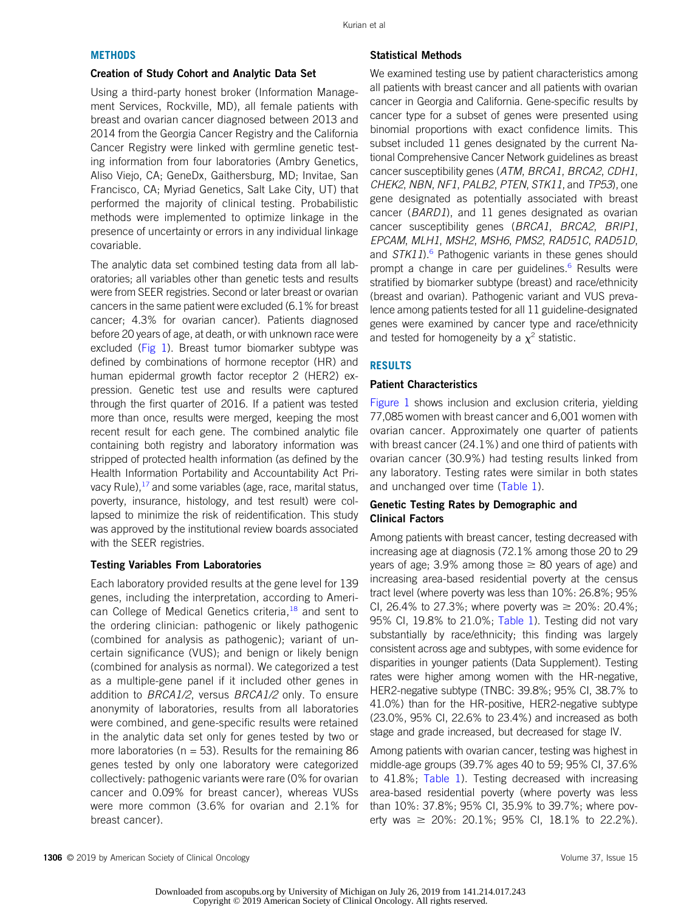### **METHODS**

#### Creation of Study Cohort and Analytic Data Set

Using a third-party honest broker (Information Management Services, Rockville, MD), all female patients with breast and ovarian cancer diagnosed between 2013 and 2014 from the Georgia Cancer Registry and the California Cancer Registry were linked with germline genetic testing information from four laboratories (Ambry Genetics, Aliso Viejo, CA; GeneDx, Gaithersburg, MD; Invitae, San Francisco, CA; Myriad Genetics, Salt Lake City, UT) that performed the majority of clinical testing. Probabilistic methods were implemented to optimize linkage in the presence of uncertainty or errors in any individual linkage covariable.

The analytic data set combined testing data from all laboratories; all variables other than genetic tests and results were from SEER registries. Second or later breast or ovarian cancers in the same patient were excluded (6.1% for breast cancer; 4.3% for ovarian cancer). Patients diagnosed before 20 years of age, at death, or with unknown race were excluded ([Fig 1\)](#page-2-0). Breast tumor biomarker subtype was defined by combinations of hormone receptor (HR) and human epidermal growth factor receptor 2 (HER2) expression. Genetic test use and results were captured through the first quarter of 2016. If a patient was tested more than once, results were merged, keeping the most recent result for each gene. The combined analytic file containing both registry and laboratory information was stripped of protected health information (as defined by the Health Information Portability and Accountability Act Privacy Rule), $17$  and some variables (age, race, marital status, poverty, insurance, histology, and test result) were collapsed to minimize the risk of reidentification. This study was approved by the institutional review boards associated with the SEER registries.

# Testing Variables From Laboratories

Each laboratory provided results at the gene level for 139 genes, including the interpretation, according to Ameri-can College of Medical Genetics criteria,<sup>[18](#page-9-0)</sup> and sent to the ordering clinician: pathogenic or likely pathogenic (combined for analysis as pathogenic); variant of uncertain significance (VUS); and benign or likely benign (combined for analysis as normal). We categorized a test as a multiple-gene panel if it included other genes in addition to BRCA1/2, versus BRCA1/2 only. To ensure anonymity of laboratories, results from all laboratories were combined, and gene-specific results were retained in the analytic data set only for genes tested by two or more laboratories ( $n = 53$ ). Results for the remaining 86 genes tested by only one laboratory were categorized collectively: pathogenic variants were rare (0% for ovarian cancer and 0.09% for breast cancer), whereas VUSs were more common (3.6% for ovarian and 2.1% for breast cancer).

# Statistical Methods

We examined testing use by patient characteristics among all patients with breast cancer and all patients with ovarian cancer in Georgia and California. Gene-specific results by cancer type for a subset of genes were presented using binomial proportions with exact confidence limits. This subset included 11 genes designated by the current National Comprehensive Cancer Network guidelines as breast cancer susceptibility genes (ATM, BRCA1, BRCA2, CDH1, CHEK2, NBN, NF1, PALB2, PTEN, STK11, and TP53), one gene designated as potentially associated with breast cancer (BARD1), and 11 genes designated as ovarian cancer susceptibility genes (BRCA1, BRCA2, BRIP1, EPCAM, MLH1, MSH2, MSH6, PMS2, RAD51C, RAD51D, and  $STK11$ <sup>[6](#page-9-0)</sup> Pathogenic variants in these genes should prompt a change in care per guidelines.<sup>[6](#page-9-0)</sup> Results were stratified by biomarker subtype (breast) and race/ethnicity (breast and ovarian). Pathogenic variant and VUS prevalence among patients tested for all 11 guideline-designated genes were examined by cancer type and race/ethnicity and tested for homogeneity by a  $\chi^2$  statistic.

# RESULTS

# Patient Characteristics

[Figure 1](#page-2-0) shows inclusion and exclusion criteria, yielding 77,085 women with breast cancer and 6,001 women with ovarian cancer. Approximately one quarter of patients with breast cancer (24.1%) and one third of patients with ovarian cancer (30.9%) had testing results linked from any laboratory. Testing rates were similar in both states and unchanged over time ([Table 1\)](#page-3-0).

# Genetic Testing Rates by Demographic and Clinical Factors

Among patients with breast cancer, testing decreased with increasing age at diagnosis (72.1% among those 20 to 29 years of age; 3.9% among those  $\geq$  80 years of age) and increasing area-based residential poverty at the census tract level (where poverty was less than 10%: 26.8%; 95% CI, 26.4% to 27.3%; where poverty was  $\geq$  20%: 20.4%; 95% CI, 19.8% to 21.0%; [Table 1\)](#page-3-0). Testing did not vary substantially by race/ethnicity; this finding was largely consistent across age and subtypes, with some evidence for disparities in younger patients (Data Supplement). Testing rates were higher among women with the HR-negative, HER2-negative subtype (TNBC: 39.8%; 95% CI, 38.7% to 41.0%) than for the HR-positive, HER2-negative subtype (23.0%, 95% CI, 22.6% to 23.4%) and increased as both stage and grade increased, but decreased for stage IV.

Among patients with ovarian cancer, testing was highest in middle-age groups (39.7% ages 40 to 59; 95% CI, 37.6% to 41.8%; [Table 1](#page-3-0)). Testing decreased with increasing area-based residential poverty (where poverty was less than 10%: 37.8%; 95% CI, 35.9% to 39.7%; where poverty was  $\geq 20\%$ : 20.1%; 95% CI, 18.1% to 22.2%).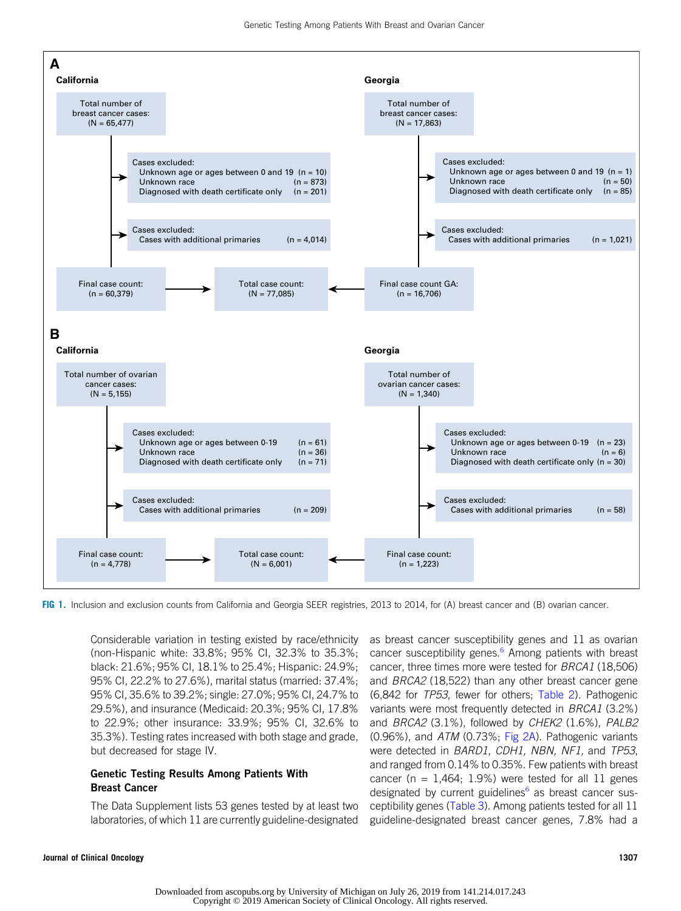<span id="page-2-0"></span>

FIG 1. Inclusion and exclusion counts from California and Georgia SEER registries, 2013 to 2014, for (A) breast cancer and (B) ovarian cancer.

Considerable variation in testing existed by race/ethnicity (non-Hispanic white: 33.8%; 95% CI, 32.3% to 35.3%; black: 21.6%; 95% CI, 18.1% to 25.4%; Hispanic: 24.9%; 95% CI, 22.2% to 27.6%), marital status (married: 37.4%; 95% CI, 35.6% to 39.2%; single: 27.0%; 95% CI, 24.7% to 29.5%), and insurance (Medicaid: 20.3%; 95% CI, 17.8% to 22.9%; other insurance: 33.9%; 95% CI, 32.6% to 35.3%). Testing rates increased with both stage and grade, but decreased for stage IV.

# Genetic Testing Results Among Patients With Breast Cancer

The Data Supplement lists 53 genes tested by at least two laboratories, of which 11 are currently guideline-designated as breast cancer susceptibility genes and 11 as ovarian cancer susceptibility genes.<sup>[6](#page-9-0)</sup> Among patients with breast cancer, three times more were tested for BRCA1 (18,506) and BRCA2 (18,522) than any other breast cancer gene (6,842 for TP53, fewer for others; [Table 2\)](#page-5-0). Pathogenic variants were most frequently detected in BRCA1 (3.2%) and BRCA2 (3.1%), followed by CHEK2 (1.6%), PALB2 (0.96%), and ATM (0.73%; [Fig 2A](#page-6-0)). Pathogenic variants were detected in BARD1, CDH1, NBN, NF1, and TP53, and ranged from 0.14% to 0.35%. Few patients with breast cancer (n =  $1,464$ ; 1.9%) were tested for all 11 genes designated by current guidelines<sup>[6](#page-9-0)</sup> as breast cancer susceptibility genes [\(Table 3\)](#page-7-0). Among patients tested for all 11 guideline-designated breast cancer genes, 7.8% had a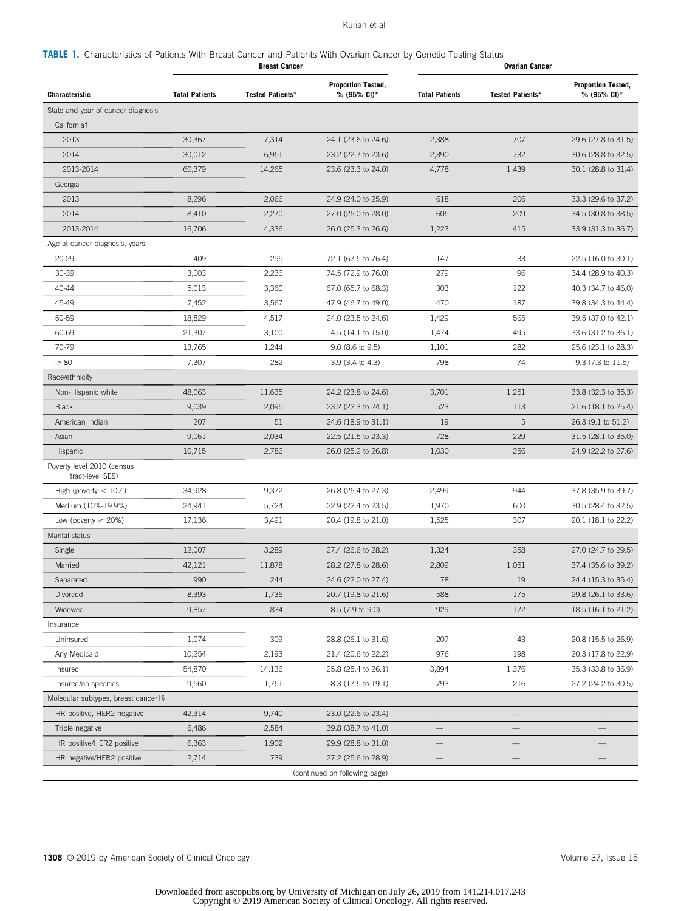#### Kurian et al

# <span id="page-3-0"></span>TABLE 1. Characteristics of Patients With Breast Cancer and Patients With Ovarian Cancer by Genetic Testing Status

|                                                | <b>Breast Cancer</b>  |                         | <b>Ovarian Cancer</b>                    |                          |                          |                                          |
|------------------------------------------------|-----------------------|-------------------------|------------------------------------------|--------------------------|--------------------------|------------------------------------------|
| <b>Characteristic</b>                          | <b>Total Patients</b> | <b>Tested Patients*</b> | <b>Proportion Tested,</b><br>% (95% CI)* | <b>Total Patients</b>    | <b>Tested Patients*</b>  | <b>Proportion Tested,</b><br>% (95% CI)* |
| State and year of cancer diagnosis             |                       |                         |                                          |                          |                          |                                          |
| California <sup>†</sup>                        |                       |                         |                                          |                          |                          |                                          |
| 2013                                           | 30,367                | 7,314                   | 24.1 (23.6 to 24.6)                      | 2,388                    | 707                      | 29.6 (27.8 to 31.5)                      |
| 2014                                           | 30,012                | 6,951                   | 23.2 (22.7 to 23.6)                      | 2,390                    | 732                      | 30.6 (28.8 to 32.5)                      |
| 2013-2014                                      | 60,379                | 14,265                  | 23.6 (23.3 to 24.0)                      | 4,778                    | 1,439                    | 30.1 (28.8 to 31.4)                      |
| Georgia                                        |                       |                         |                                          |                          |                          |                                          |
| 2013                                           | 8,296                 | 2,066                   | 24.9 (24.0 to 25.9)                      | 618                      | 206                      | 33.3 (29.6 to 37.2)                      |
| 2014                                           | 8,410                 | 2,270                   | 27.0 (26.0 to 28.0)                      | 605                      | 209                      | 34.5 (30.8 to 38.5)                      |
| 2013-2014                                      | 16,706                | 4,336                   | 26.0 (25.3 to 26.6)                      | 1,223                    | 415                      | 33.9 (31.3 to 36.7)                      |
| Age at cancer diagnosis, years                 |                       |                         |                                          |                          |                          |                                          |
| 20-29                                          | 409                   | 295                     | 72.1 (67.5 to 76.4)                      | 147                      | 33                       | 22.5 (16.0 to 30.1)                      |
| 30-39                                          | 3,003                 | 2,236                   | 74.5 (72.9 to 76.0)                      | 279                      | 96                       | 34.4 (28.9 to 40.3)                      |
| 40-44                                          | 5,013                 | 3,360                   | 67.0 (65.7 to 68.3)                      | 303                      | 122                      | 40.3 (34.7 to 46.0)                      |
| 45-49                                          | 7,452                 | 3,567                   | 47.9 (46.7 to 49.0)                      | 470                      | 187                      | 39.8 (34.3 to 44.4)                      |
| 50-59                                          | 18,829                | 4,517                   | 24.0 (23.5 to 24.6)                      | 1,429                    | 565                      | 39.5 (37.0 to 42.1)                      |
| 60-69                                          | 21,307                | 3,100                   | 14.5 (14.1 to 15.0)                      | 1,474                    | 495                      | 33.6 (31.2 to 36.1)                      |
| 70-79                                          | 13,765                | 1,244                   | 9.0 (8.6 to 9.5)                         | 1,101                    | 282                      | 25.6 (23.1 to 28.3)                      |
| $\geq 80$                                      | 7,307                 | 282                     | 3.9 (3.4 to 4.3)                         | 798                      | 74                       | 9.3 (7.3 to 11.5)                        |
| Race/ethnicity                                 |                       |                         |                                          |                          |                          |                                          |
| Non-Hispanic white                             | 48,063                | 11,635                  | 24.2 (23.8 to 24.6)                      | 3,701                    | 1,251                    | 33.8 (32.3 to 35.3)                      |
| <b>Black</b>                                   | 9,039                 | 2,095                   | 23.2 (22.3 to 24.1)                      | 523                      | 113                      | 21.6 (18.1 to 25.4)                      |
| American Indian                                | 207                   | 51                      | 24.6 (18.9 to 31.1)                      | 19                       | 5                        | 26.3 (9.1 to 51.2)                       |
| Asian                                          | 9,061                 | 2,034                   | 22.5 (21.5 to 23.3)                      | 728                      | 229                      | 31.5 (28.1 to 35.0)                      |
| Hispanic                                       | 10,715                | 2,786                   | 26.0 (25.2 to 26.8)                      | 1,030                    | 256                      | 24.9 (22.2 to 27.6)                      |
| Poverty level 2010 (census<br>tract-level SES) |                       |                         |                                          |                          |                          |                                          |
| High (poverty $< 10\%$ )                       | 34,928                | 9,372                   | 26.8 (26.4 to 27.3)                      | 2,499                    | 944                      | 37.8 (35.9 to 39.7)                      |
| Medium (10%-19.9%)                             | 24,941                | 5,724                   | 22.9 (22.4 to 23.5)                      | 1,970                    | 600                      | 30.5 (28.4 to 32.5)                      |
| Low (poverty $\geq$ 20%)                       | 17,136                | 3,491                   | 20.4 (19.8 to 21.0)                      | 1,525                    | 307                      | 20.1 (18.1 to 22.2)                      |
| Marital status‡                                |                       |                         |                                          |                          |                          |                                          |
| Single                                         | 12,007                | 3,289                   | 27.4 (26.6 to 28.2)                      | 1,324                    | 358                      | 27.0 (24.7 to 29.5)                      |
| Married                                        | 42,121                | 11,878                  | 28.2 (27.8 to 28.6)                      | 2,809                    | 1,051                    | 37.4 (35.6 to 39.2)                      |
| Separated                                      | 990                   | 244                     | 24.6 (22.0 to 27.4)                      | 78                       | 19                       | 24.4 (15.3 to 35.4)                      |
| Divorced                                       | 8,393                 | 1,736                   | 20.7 (19.8 to 21.6)                      | 588                      | 175                      | 29.8 (26.1 to 33.6)                      |
| Widowed                                        | 9,857                 | 834                     | 8.5 (7.9 to 9.0)                         | 929                      | 172                      | 18.5 (16.1 to 21.2)                      |
| Insurance‡                                     |                       |                         |                                          |                          |                          |                                          |
| Uninsured                                      | 1,074                 | 309                     | 28.8 (26.1 to 31.6)                      | 207                      | 43                       | 20.8 (15.5 to 26.9)                      |
| Any Medicaid                                   | 10,254                | 2,193                   | 21.4 (20.6 to 22.2)                      | 976                      | 198                      | 20.3 (17.8 to 22.9)                      |
| Insured                                        | 54,870                | 14,136                  | 25.8 (25.4 to 26.1)                      | 3,894                    | 1,376                    | 35.3 (33.8 to 36.9)                      |
| Insured/no specifics                           | 9,560                 | 1,751                   | 18.3 (17.5 to 19.1)                      | 793                      | 216                      | 27.2 (24.2 to 30.5)                      |
| Molecular subtypes, breast cancer‡§            |                       |                         |                                          |                          |                          |                                          |
| HR positive, HER2 negative                     | 42,314                | 9,740                   | 23.0 (22.6 to 23.4)                      |                          |                          |                                          |
| Triple negative                                | 6,486                 | 2,584                   | 39.8 (38.7 to 41.0)                      | $\overline{\phantom{0}}$ | $\overline{\phantom{0}}$ | $\overline{\phantom{0}}$                 |
| HR positive/HER2 positive                      | 6,363                 | 1,902                   | 29.9 (28.8 to 31.0)                      |                          |                          |                                          |
| HR negative/HER2 positive                      | 2,714                 | 739                     | 27.2 (25.6 to 28.9)                      |                          |                          |                                          |
|                                                |                       |                         | (continued on following page)            |                          |                          |                                          |

1308 © 2019 by American Society of Clinical Oncology **Volume 37, Issue 15** Volume 37, Issue 15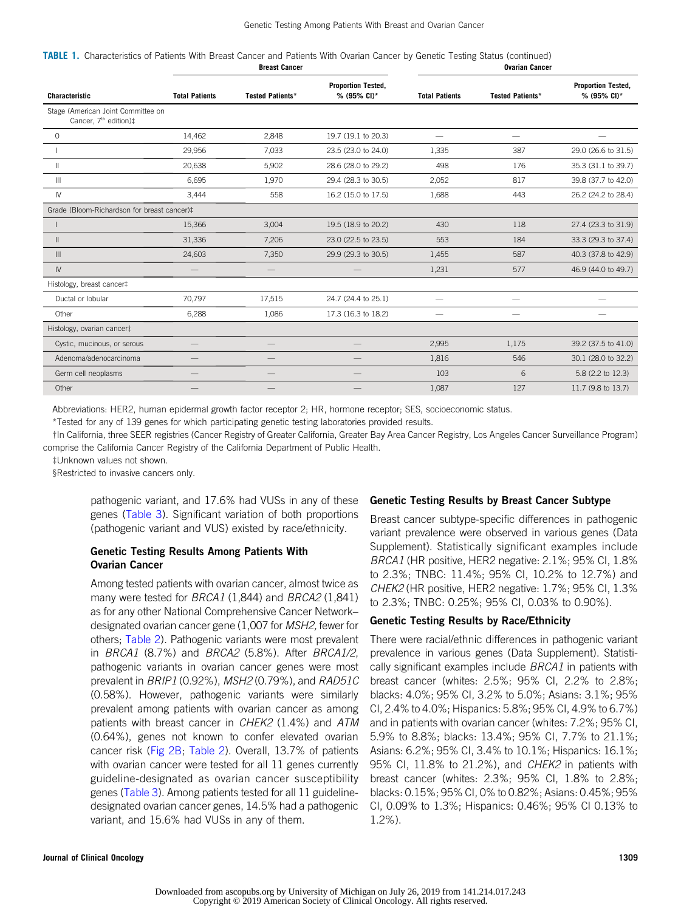TABLE 1. Characteristics of Patients With Breast Cancer and Patients With Ovarian Cancer by Genetic Testing Status (continued) **Breast Cancer** Cancer Cancer Cancer Cancer Cancer Cancer Cancer Cancer Cancer Cancer Cancer Cancer Cancer Cancer

| <b>Characteristic</b>                                                   | <b>Total Patients</b> | <b>Tested Patients*</b> | <b>Proportion Tested,</b><br>% (95% CI)* | <b>Total Patients</b> | <b>Tested Patients*</b>  | <b>Proportion Tested,</b><br>% (95% CI)* |
|-------------------------------------------------------------------------|-----------------------|-------------------------|------------------------------------------|-----------------------|--------------------------|------------------------------------------|
| Stage (American Joint Committee on<br>Cancer, 7 <sup>th</sup> edition)‡ |                       |                         |                                          |                       |                          |                                          |
| $\mathbf 0$                                                             | 14,462                | 2,848                   | 19.7 (19.1 to 20.3)                      |                       |                          |                                          |
|                                                                         | 29,956                | 7,033                   | 23.5 (23.0 to 24.0)                      | 1.335                 | 387                      | 29.0 (26.6 to 31.5)                      |
| $\mathsf{II}$                                                           | 20,638                | 5,902                   | 28.6 (28.0 to 29.2)                      | 498                   | 176                      | 35.3 (31.1 to 39.7)                      |
| Ш                                                                       | 6,695                 | 1,970                   | 29.4 (28.3 to 30.5)                      | 2,052                 | 817                      | 39.8 (37.7 to 42.0)                      |
| IV                                                                      | 3,444                 | 558                     | 16.2 (15.0 to 17.5)                      | 1.688                 | 443                      | 26.2 (24.2 to 28.4)                      |
| Grade (Bloom-Richardson for breast cancer)‡                             |                       |                         |                                          |                       |                          |                                          |
|                                                                         | 15,366                | 3,004                   | 19.5 (18.9 to 20.2)                      | 430                   | 118                      | 27.4 (23.3 to 31.9)                      |
| $\mathbf{II}$                                                           | 31,336                | 7,206                   | 23.0 (22.5 to 23.5)                      | 553                   | 184                      | 33.3 (29.3 to 37.4)                      |
| III                                                                     | 24,603                | 7,350                   | 29.9 (29.3 to 30.5)                      | 1.455                 | 587                      | 40.3 (37.8 to 42.9)                      |
| IV                                                                      |                       |                         |                                          | 1,231                 | 577                      | 46.9 (44.0 to 49.7)                      |
| Histology, breast cancer‡                                               |                       |                         |                                          |                       |                          |                                          |
| Ductal or lobular                                                       | 70.797                | 17,515                  | 24.7 (24.4 to 25.1)                      |                       | $\overline{\phantom{m}}$ |                                          |
| Other                                                                   | 6,288                 | 1,086                   | 17.3 (16.3 to 18.2)                      |                       |                          |                                          |
| Histology, ovarian cancer‡                                              |                       |                         |                                          |                       |                          |                                          |
| Cystic, mucinous, or serous                                             |                       |                         |                                          | 2.995                 | 1.175                    | 39.2 (37.5 to 41.0)                      |
| Adenoma/adenocarcinoma                                                  |                       |                         | –                                        | 1,816                 | 546                      | 30.1 (28.0 to 32.2)                      |
| Germ cell neoplasms                                                     |                       | $\qquad \qquad$         |                                          | 103                   | 6                        | 5.8 (2.2 to 12.3)                        |
| Other                                                                   |                       |                         |                                          | 1,087                 | 127                      | 11.7 (9.8 to 13.7)                       |

Abbreviations: HER2, human epidermal growth factor receptor 2; HR, hormone receptor; SES, socioeconomic status.

\*Tested for any of 139 genes for which participating genetic testing laboratories provided results.

†In California, three SEER registries (Cancer Registry of Greater California, Greater Bay Area Cancer Registry, Los Angeles Cancer Surveillance Program) comprise the California Cancer Registry of the California Department of Public Health.

‡Unknown values not shown.

§Restricted to invasive cancers only.

pathogenic variant, and 17.6% had VUSs in any of these genes [\(Table 3](#page-7-0)). Significant variation of both proportions (pathogenic variant and VUS) existed by race/ethnicity.

# Genetic Testing Results Among Patients With Ovarian Cancer

Among tested patients with ovarian cancer, almost twice as many were tested for BRCA1 (1,844) and BRCA2 (1,841) as for any other National Comprehensive Cancer Network– designated ovarian cancer gene (1,007 for MSH2, fewer for others; [Table 2\)](#page-5-0). Pathogenic variants were most prevalent in BRCA1 (8.7%) and BRCA2 (5.8%). After BRCA1/2, pathogenic variants in ovarian cancer genes were most prevalent in BRIP1 (0.92%), MSH2 (0.79%), and RAD51C (0.58%). However, pathogenic variants were similarly prevalent among patients with ovarian cancer as among patients with breast cancer in CHEK2 (1.4%) and ATM (0.64%), genes not known to confer elevated ovarian cancer risk [\(Fig 2B](#page-6-0); [Table 2](#page-5-0)). Overall, 13.7% of patients with ovarian cancer were tested for all 11 genes currently guideline-designated as ovarian cancer susceptibility genes [\(Table 3\)](#page-7-0). Among patients tested for all 11 guidelinedesignated ovarian cancer genes, 14.5% had a pathogenic variant, and 15.6% had VUSs in any of them.

# Genetic Testing Results by Breast Cancer Subtype

Breast cancer subtype-specific differences in pathogenic variant prevalence were observed in various genes (Data Supplement). Statistically significant examples include BRCA1 (HR positive, HER2 negative: 2.1%; 95% CI, 1.8% to 2.3%; TNBC: 11.4%; 95% CI, 10.2% to 12.7%) and CHEK2 (HR positive, HER2 negative: 1.7%; 95% CI, 1.3% to 2.3%; TNBC: 0.25%; 95% CI, 0.03% to 0.90%).

# Genetic Testing Results by Race/Ethnicity

There were racial/ethnic differences in pathogenic variant prevalence in various genes (Data Supplement). Statistically significant examples include *BRCA1* in patients with breast cancer (whites: 2.5%; 95% CI, 2.2% to 2.8%; blacks: 4.0%; 95% CI, 3.2% to 5.0%; Asians: 3.1%; 95% CI, 2.4% to 4.0%; Hispanics: 5.8%; 95% CI, 4.9% to 6.7%) and in patients with ovarian cancer (whites: 7.2%; 95% CI, 5.9% to 8.8%; blacks: 13.4%; 95% CI, 7.7% to 21.1%; Asians: 6.2%; 95% CI, 3.4% to 10.1%; Hispanics: 16.1%; 95% CI, 11.8% to 21.2%), and *CHEK2* in patients with breast cancer (whites: 2.3%; 95% CI, 1.8% to 2.8%; blacks: 0.15%; 95% CI, 0% to 0.82%; Asians: 0.45%; 95% CI, 0.09% to 1.3%; Hispanics: 0.46%; 95% CI 0.13% to 1.2%).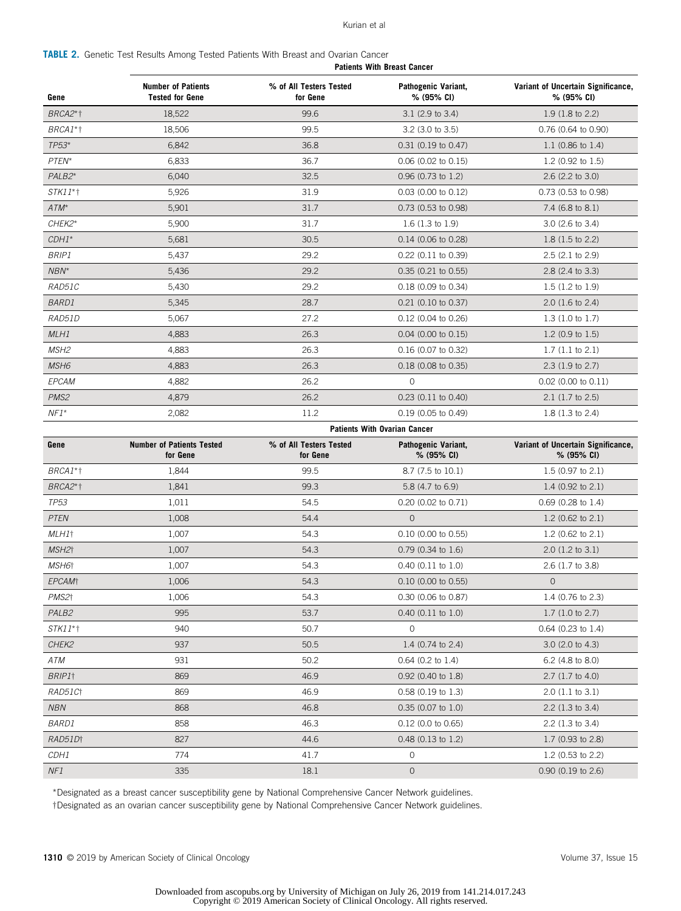#### Kurian et al

<span id="page-5-0"></span>

|  |                                                                                           |  |  |  | <b>Patients With Breast Cancer</b> |  |
|--|-------------------------------------------------------------------------------------------|--|--|--|------------------------------------|--|
|  | <b>TABLE 2.</b> Genetic Test Results Among Tested Patients With Breast and Ovarian Cancer |  |  |  |                                    |  |

| Gene                      | <b>Number of Patients</b><br><b>Tested for Gene</b> | % of All Testers Tested<br>for Gene | Pathogenic Variant,<br>% (95% CI)   | Variant of Uncertain Significance,<br>% (95% CI) |
|---------------------------|-----------------------------------------------------|-------------------------------------|-------------------------------------|--------------------------------------------------|
| BRCA2*1                   | 18,522                                              | 99.6                                | $3.1$ (2.9 to 3.4)                  | 1.9 (1.8 to 2.2)                                 |
| BRCA1*†                   | 18,506                                              | 99.5                                | $3.2$ (3.0 to $3.5$ )               | 0.76 (0.64 to 0.90)                              |
| $TP53*$                   | 6,842                                               | 36.8                                | $0.31$ (0.19 to 0.47)               | 1.1 $(0.86 \text{ to } 1.4)$                     |
| PTEN*                     | 6,833                                               | 36.7                                | $0.06$ (0.02 to 0.15)               | 1.2 (0.92 to 1.5)                                |
| PALB2*                    | 6,040                                               | 32.5                                | $0.96$ (0.73 to 1.2)                | 2.6 (2.2 to 3.0)                                 |
| <i>STK11</i> *†           | 5,926                                               | 31.9                                | $0.03$ (0.00 to 0.12)               | 0.73 (0.53 to 0.98)                              |
| $ATM^*$                   | 5,901                                               | 31.7                                | 0.73 (0.53 to 0.98)                 | 7.4 $(6.8 \text{ to } 8.1)$                      |
| CHEK2*                    | 5,900                                               | 31.7                                | $1.6(1.3 \text{ to } 1.9)$          | 3.0 (2.6 to 3.4)                                 |
| $CDH1*$                   | 5,681                                               | 30.5                                | 0.14 (0.06 to 0.28)                 | $1.8(1.5 \text{ to } 2.2)$                       |
| <i>BRIP1</i>              | 5,437                                               | 29.2                                | 0.22 (0.11 to 0.39)                 | 2.5 (2.1 to 2.9)                                 |
| NBN*                      | 5,436                                               | 29.2                                | $0.35$ (0.21 to 0.55)               | 2.8 (2.4 to 3.3)                                 |
| RAD51C                    | 5,430                                               | 29.2                                | 0.18 (0.09 to 0.34)                 | $1.5(1.2 \text{ to } 1.9)$                       |
| <b>BARD1</b>              | 5,345                                               | 28.7                                | $0.21$ (0.10 to 0.37)               | $2.0$ (1.6 to 2.4)                               |
| RAD51D                    | 5,067                                               | 27.2                                | $0.12$ (0.04 to 0.26)               | $1.3(1.0 \text{ to } 1.7)$                       |
| MLH1                      | 4,883                                               | 26.3                                | $0.04$ (0.00 to 0.15)               | $1.2$ (0.9 to 1.5)                               |
| MSH <sub>2</sub>          | 4,883                                               | 26.3                                | 0.16 (0.07 to 0.32)                 | $1.7(1.1 \text{ to } 2.1)$                       |
| MSH <sub>6</sub>          | 4,883                                               | 26.3                                | 0.18 (0.08 to 0.35)                 | $2.3$ (1.9 to 2.7)                               |
| EPCAM                     | 4,882                                               | 26.2                                | $\circ$                             | 0.02 (0.00 to 0.11)                              |
| PMS <sub>2</sub>          | 4,879                                               | 26.2                                | 0.23 (0.11 to 0.40)                 | $2.1$ (1.7 to 2.5)                               |
| $NF1*$                    | 2,082                                               | 11.2                                | 0.19 (0.05 to 0.49)                 | $1.8(1.3 \text{ to } 2.4)$                       |
|                           |                                                     |                                     | <b>Patients With Ovarian Cancer</b> |                                                  |
| Gene                      | <b>Number of Patients Tested</b><br>for Gene        | % of All Testers Tested<br>for Gene | Pathogenic Variant,<br>% (95% CI)   | Variant of Uncertain Significance,<br>% (95% CI) |
| BRCA1*†                   | 1,844                                               | 99.5                                | 8.7 (7.5 to 10.1)                   | $1.5$ (0.97 to 2.1)                              |
| BRCA2*1                   | 1,841                                               | 99.3                                | 5.8 (4.7 to 6.9)                    | 1.4 $(0.92 \text{ to } 2.1)$                     |
| TP <sub>53</sub>          | 1,011                                               | 54.5                                | 0.20 (0.02 to 0.71)                 | $0.69$ (0.28 to 1.4)                             |
| <b>PTEN</b>               | 1,008                                               | 54.4                                | $\overline{O}$                      | 1.2 (0.62 to $2.1$ )                             |
| MLH1†                     | 1,007                                               | 54.3                                | 0.10 (0.00 to 0.55)                 | 1.2 (0.62 to $2.1$ )                             |
| MSH2†                     | 1,007                                               | 54.3                                | $0.79$ (0.34 to 1.6)                | $2.0$ (1.2 to 3.1)                               |
| MSH6†                     | 1,007                                               | 54.3                                | $0.40$ (0.11 to 1.0)                | 2.6 (1.7 to 3.8)                                 |
| <b>EPCAM</b> <sup>t</sup> | 1,006                                               | 54.3                                | $0.10$ (0.00 to 0.55)               | $\overline{O}$                                   |
| PMS2 <sup>+</sup>         | 1,006                                               | 54.3                                | 0.30 (0.06 to 0.87)                 | 1.4 (0.76 to 2.3)                                |
| PALB <sub>2</sub>         | 995                                                 | 53.7                                | $0.40$ (0.11 to 1.0)                | 1.7(1.0 to 2.7)                                  |
| <i>STK11</i> *†           | 940                                                 | 50.7                                | $\circ$                             | $0.64$ (0.23 to 1.4)                             |
| CHEK2                     | 937                                                 | 50.5                                | 1.4 $(0.74$ to 2.4)                 | 3.0 (2.0 to 4.3)                                 |
| ATM                       | 931                                                 | 50.2                                | $0.64$ (0.2 to 1.4)                 | 6.2 (4.8 to 8.0)                                 |
| BRIP1†                    | 869                                                 | 46.9                                | $0.92$ (0.40 to 1.8)                | $2.7(1.7 \text{ to } 4.0)$                       |
| RAD51Ct                   | 869                                                 | 46.9                                | $0.58$ (0.19 to 1.3)                | $2.0$ (1.1 to 3.1)                               |
| <b>NBN</b>                | 868                                                 | 46.8                                | $0.35$ (0.07 to 1.0)                | $2.2$ (1.3 to 3.4)                               |
| <i>BARD1</i>              | 858                                                 | 46.3                                | $0.12$ (0.0 to 0.65)                | $2.2$ (1.3 to 3.4)                               |
| RAD51Dt                   | 827                                                 | 44.6                                | $0.48$ (0.13 to 1.2)                | $1.7$ (0.93 to 2.8)                              |
| CDH1                      | 774                                                 | 41.7                                | 0                                   | 1.2 (0.53 to 2.2)                                |
|                           |                                                     |                                     |                                     |                                                  |

\*Designated as a breast cancer susceptibility gene by National Comprehensive Cancer Network guidelines.

†Designated as an ovarian cancer susceptibility gene by National Comprehensive Cancer Network guidelines.

1310 © 2019 by American Society of Clinical Oncology **Volume 37, Issue 15** and the state of Clinical Oncology Volume 37, Issue 15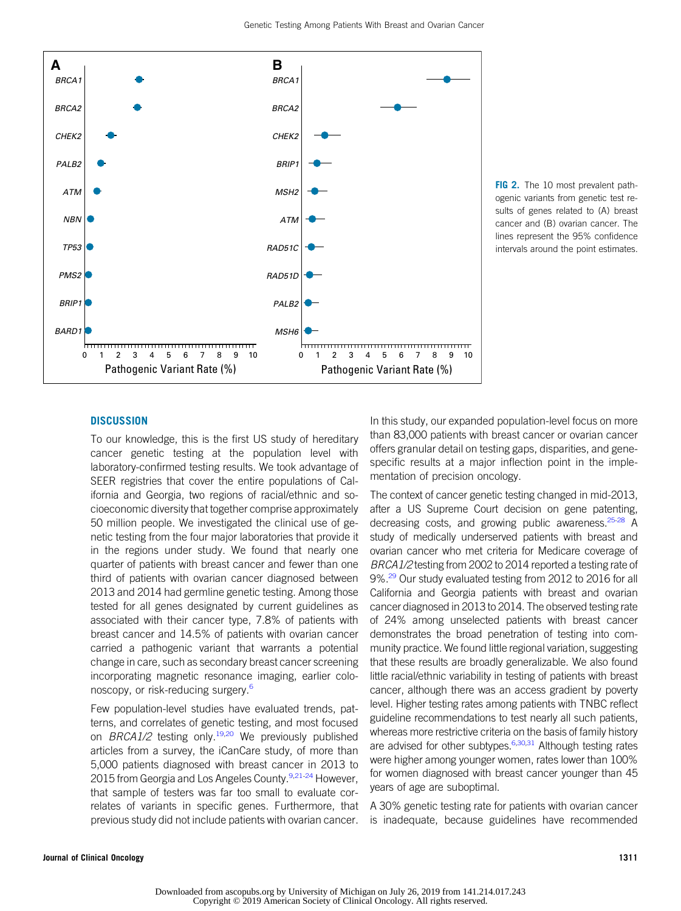Copyright © 2019 American Society of Clinical Oncology. All rights reserved.

#### Genetic Testing Among Patients With Breast and Ovarian Cancer

**B**

FIG 2. The 10 most prevalent pathogenic variants from genetic test results of genes related to (A) breast cancer and (B) ovarian cancer. The lines represent the 95% confidence intervals around the point estimates.

# **DISCUSSION**

<span id="page-6-0"></span>**A**

To our knowledge, this is the first US study of hereditary cancer genetic testing at the population level with laboratory-confirmed testing results. We took advantage of SEER registries that cover the entire populations of California and Georgia, two regions of racial/ethnic and socioeconomic diversity that together comprise approximately 50 million people. We investigated the clinical use of genetic testing from the four major laboratories that provide it in the regions under study. We found that nearly one quarter of patients with breast cancer and fewer than one third of patients with ovarian cancer diagnosed between 2013 and 2014 had germline genetic testing. Among those tested for all genes designated by current guidelines as associated with their cancer type, 7.8% of patients with breast cancer and 14.5% of patients with ovarian cancer carried a pathogenic variant that warrants a potential change in care, such as secondary breast cancer screening incorporating magnetic resonance imaging, earlier colonoscopy, or risk-reducing surgery.[6](#page-9-0)

Few population-level studies have evaluated trends, patterns, and correlates of genetic testing, and most focused on BRCA1/2 testing only.<sup>19,[20](#page-9-0)</sup> We previously published articles from a survey, the iCanCare study, of more than 5,000 patients diagnosed with breast cancer in 2013 to 2015 from Georgia and Los Angeles County.<sup>[9,21](#page-9-0)[-24](#page-10-0)</sup> However, that sample of testers was far too small to evaluate correlates of variants in specific genes. Furthermore, that previous study did not include patients with ovarian cancer. In this study, our expanded population-level focus on more than 83,000 patients with breast cancer or ovarian cancer offers granular detail on testing gaps, disparities, and genespecific results at a major inflection point in the implementation of precision oncology.

The context of cancer genetic testing changed in mid-2013, after a US Supreme Court decision on gene patenting, decreasing costs, and growing public awareness.<sup>[25-28](#page-10-0)</sup> A study of medically underserved patients with breast and ovarian cancer who met criteria for Medicare coverage of BRCA1/2 testing from 2002 to 2014 reported a testing rate of 9%.<sup>[29](#page-10-0)</sup> Our study evaluated testing from 2012 to 2016 for all California and Georgia patients with breast and ovarian cancer diagnosed in 2013 to 2014. The observed testing rate of 24% among unselected patients with breast cancer demonstrates the broad penetration of testing into community practice. We found little regional variation, suggesting that these results are broadly generalizable. We also found little racial/ethnic variability in testing of patients with breast cancer, although there was an access gradient by poverty level. Higher testing rates among patients with TNBC reflect guideline recommendations to test nearly all such patients, whereas more restrictive criteria on the basis of family history are advised for other subtypes.  $6,30,31$  $6,30,31$  $6,30,31$  $6,30,31$  Although testing rates were higher among younger women, rates lower than 100% for women diagnosed with breast cancer younger than 45 years of age are suboptimal.

A 30% genetic testing rate for patients with ovarian cancer is inadequate, because guidelines have recommended

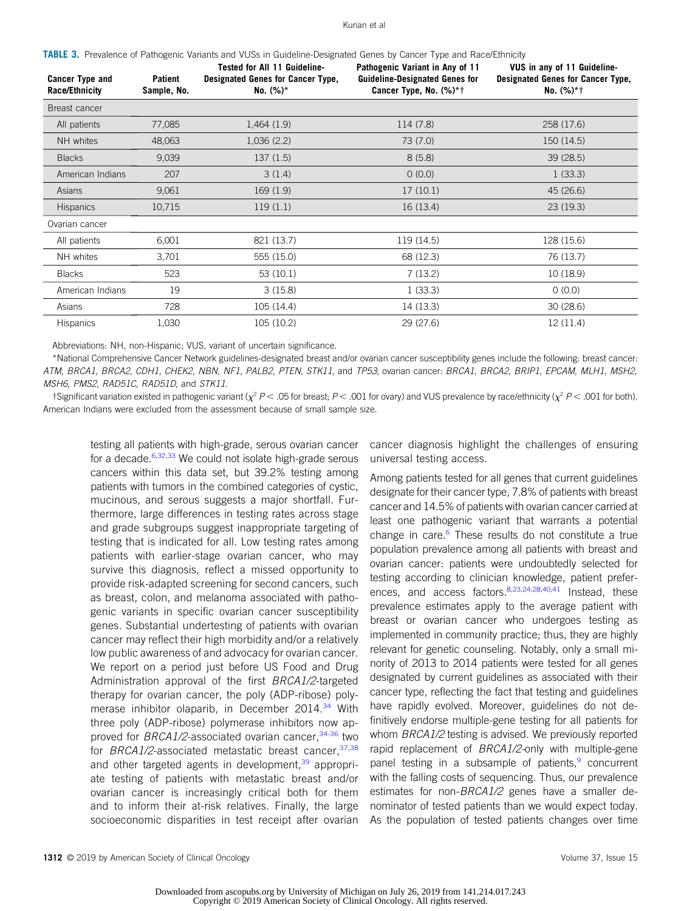#### Kurian et al

<span id="page-7-0"></span>

| TABLE 3. Prevalence of Pathogenic Variants and VUSs in Guideline-Designated Genes by Cancer Type and Race/Ethnicity |  |  |  |
|---------------------------------------------------------------------------------------------------------------------|--|--|--|
|                                                                                                                     |  |  |  |

| <b>Cancer Type and</b><br><b>Race/Ethnicity</b> | Patient<br>Sample, No. | <b>Tested for All 11 Guideline-</b><br>Designated Genes for Cancer Type,<br>No. $(\%)^*$ | Pathogenic Variant in Any of 11<br><b>Guideline-Designated Genes for</b><br>Cancer Type, No. $(\%)^*$ † | VUS in any of 11 Guideline-<br><b>Designated Genes for Cancer Type,</b><br>No. $(%)*†$ |
|-------------------------------------------------|------------------------|------------------------------------------------------------------------------------------|---------------------------------------------------------------------------------------------------------|----------------------------------------------------------------------------------------|
| Breast cancer                                   |                        |                                                                                          |                                                                                                         |                                                                                        |
| All patients                                    | 77,085                 | 1,464(1.9)                                                                               | 114 (7.8)                                                                                               | 258 (17.6)                                                                             |
| NH whites                                       | 48,063                 | 1,036(2.2)                                                                               | 73 (7.0)                                                                                                | 150 (14.5)                                                                             |
| <b>Blacks</b>                                   | 9,039                  | 137(1.5)                                                                                 | 8(5.8)                                                                                                  | 39 (28.5)                                                                              |
| American Indians                                | 207                    | 3(1.4)                                                                                   | 0(0.0)                                                                                                  | 1(33.3)                                                                                |
| Asians                                          | 9,061                  | 169(1.9)                                                                                 | 17(10.1)                                                                                                | 45 (26.6)                                                                              |
| <b>Hispanics</b>                                | 10,715                 | 119(1.1)                                                                                 | 16 (13.4)                                                                                               | 23(19.3)                                                                               |
| Ovarian cancer                                  |                        |                                                                                          |                                                                                                         |                                                                                        |
| All patients                                    | 6,001                  | 821 (13.7)                                                                               | 119 (14.5)                                                                                              | 128 (15.6)                                                                             |
| NH whites                                       | 3,701                  | 555 (15.0)                                                                               | 68 (12.3)                                                                                               | 76 (13.7)                                                                              |
| <b>Blacks</b>                                   | 523                    | 53 (10.1)                                                                                | 7(13.2)                                                                                                 | 10(18.9)                                                                               |
| American Indians                                | 19                     | 3(15.8)                                                                                  | 1(33.3)                                                                                                 | 0(0.0)                                                                                 |
| Asians                                          | 728                    | 105 (14.4)                                                                               | 14 (13.3)                                                                                               | 30(28.6)                                                                               |
| <b>Hispanics</b>                                | 1,030                  | 105 (10.2)                                                                               | 29 (27.6)                                                                                               | 12(11.4)                                                                               |

Abbreviations: NH, non-Hispanic; VUS, variant of uncertain significance.

\*National Comprehensive Cancer Network guidelines-designated breast and/or ovarian cancer susceptibility genes include the following: breast cancer: ATM, BRCA1, BRCA2, CDH1, CHEK2, NBN, NF1, PALB2, PTEN, STK11, and TP53; ovarian cancer: BRCA1, BRCA2, BRIP1, EPCAM, MLH1, MSH2, MSH6, PMS2, RAD51C, RAD51D, and STK11.

†Significant variation existed in pathogenic variant ( $\chi^2 P < .05$  for breast; P < .001 for ovary) and VUS prevalence by race/ethnicity ( $\chi^2 P < .001$  for both). American Indians were excluded from the assessment because of small sample size.

testing all patients with high-grade, serous ovarian cancer for a decade.<sup>6[,32](#page-10-0),[33](#page-10-0)</sup> We could not isolate high-grade serous cancers within this data set, but 39.2% testing among patients with tumors in the combined categories of cystic, mucinous, and serous suggests a major shortfall. Furthermore, large differences in testing rates across stage and grade subgroups suggest inappropriate targeting of testing that is indicated for all. Low testing rates among patients with earlier-stage ovarian cancer, who may survive this diagnosis, reflect a missed opportunity to provide risk-adapted screening for second cancers, such as breast, colon, and melanoma associated with pathogenic variants in specific ovarian cancer susceptibility genes. Substantial undertesting of patients with ovarian cancer may reflect their high morbidity and/or a relatively low public awareness of and advocacy for ovarian cancer. We report on a period just before US Food and Drug Administration approval of the first BRCA1/2-targeted therapy for ovarian cancer, the poly (ADP-ribose) poly-merase inhibitor olaparib, in December 2014.<sup>[34](#page-10-0)</sup> With three poly (ADP-ribose) polymerase inhibitors now ap-proved for BRCA1/2-associated ovarian cancer, [34-36](#page-10-0) two for BRCA1/2-associated metastatic breast cancer,  $37,38$  $37,38$  $37,38$ and other targeted agents in development,<sup>[39](#page-10-0)</sup> appropriate testing of patients with metastatic breast and/or ovarian cancer is increasingly critical both for them and to inform their at-risk relatives. Finally, the large socioeconomic disparities in test receipt after ovarian cancer diagnosis highlight the challenges of ensuring universal testing access.

Among patients tested for all genes that current guidelines designate for their cancer type, 7.8% of patients with breast cancer and 14.5% of patients with ovarian cancer carried at least one pathogenic variant that warrants a potential change in care. $6$  These results do not constitute a true population prevalence among all patients with breast and ovarian cancer: patients were undoubtedly selected for testing according to clinician knowledge, patient prefer-ences, and access factors. <sup>[8,](#page-9-0)[23,24,28,40](#page-10-0),[41](#page-10-0)</sup> Instead, these prevalence estimates apply to the average patient with breast or ovarian cancer who undergoes testing as implemented in community practice; thus, they are highly relevant for genetic counseling. Notably, only a small minority of 2013 to 2014 patients were tested for all genes designated by current guidelines as associated with their cancer type, reflecting the fact that testing and guidelines have rapidly evolved. Moreover, guidelines do not definitively endorse multiple-gene testing for all patients for whom BRCA1/2 testing is advised. We previously reported rapid replacement of BRCA1/2-only with multiple-gene panel testing in a subsample of patients, $9$  concurrent with the falling costs of sequencing. Thus, our prevalence estimates for non-BRCA1/2 genes have a smaller denominator of tested patients than we would expect today. As the population of tested patients changes over time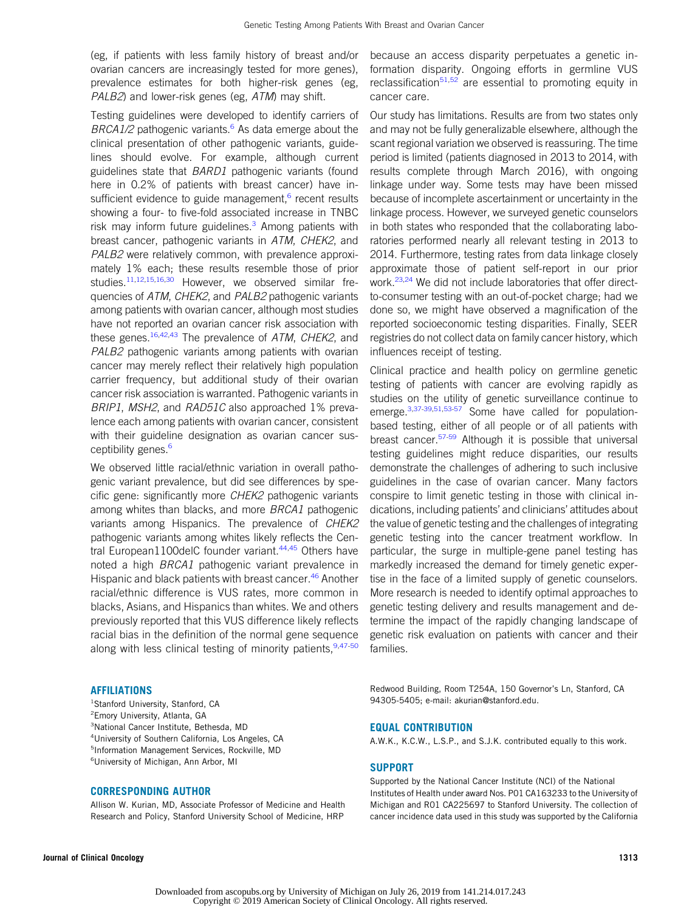(eg, if patients with less family history of breast and/or ovarian cancers are increasingly tested for more genes), prevalence estimates for both higher-risk genes (eg, PALB2) and lower-risk genes (eg, ATM) may shift.

Testing guidelines were developed to identify carriers of BRCA1/2 pathogenic variants.<sup>[6](#page-9-0)</sup> As data emerge about the clinical presentation of other pathogenic variants, guidelines should evolve. For example, although current guidelines state that BARD1 pathogenic variants (found here in 0.2% of patients with breast cancer) have in-sufficient evidence to guide management,<sup>[6](#page-9-0)</sup> recent results showing a four- to five-fold associated increase in TNBC risk may inform future guidelines. $3$  Among patients with breast cancer, pathogenic variants in ATM, CHEK2, and PALB2 were relatively common, with prevalence approximately 1% each; these results resemble those of prior studies.<sup>[11](#page-9-0),[12,15,16,](#page-9-0)[30](#page-10-0)</sup> However, we observed similar frequencies of ATM, CHEK2, and PALB2 pathogenic variants among patients with ovarian cancer, although most studies have not reported an ovarian cancer risk association with these genes.<sup>[16](#page-9-0)[,42](#page-10-0),[43](#page-10-0)</sup> The prevalence of ATM, CHEK2, and PALB2 pathogenic variants among patients with ovarian cancer may merely reflect their relatively high population carrier frequency, but additional study of their ovarian cancer risk association is warranted. Pathogenic variants in BRIP1, MSH2, and RAD51C also approached 1% prevalence each among patients with ovarian cancer, consistent with their guideline designation as ovarian cancer sus-ceptibility genes.<sup>[6](#page-9-0)</sup>

We observed little racial/ethnic variation in overall pathogenic variant prevalence, but did see differences by specific gene: significantly more CHEK2 pathogenic variants among whites than blacks, and more BRCA1 pathogenic variants among Hispanics. The prevalence of CHEK2 pathogenic variants among whites likely reflects the Cen-tral European1100delC founder variant.<sup>[44,45](#page-10-0)</sup> Others have noted a high BRCA1 pathogenic variant prevalence in Hispanic and black patients with breast cancer.<sup>[46](#page-10-0)</sup> Another racial/ethnic difference is VUS rates, more common in blacks, Asians, and Hispanics than whites. We and others previously reported that this VUS difference likely reflects racial bias in the definition of the normal gene sequence along with less clinical testing of minority patients,  $9,47-50$  $9,47-50$  $9,47-50$ 

#### AFFILIATIONS

 Stanford University, Stanford, CA <sup>2</sup> Emory University, Atlanta, GA National Cancer Institute, Bethesda, MD University of Southern California, Los Angeles, CA Information Management Services, Rockville, MD University of Michigan, Ann Arbor, MI

#### CORRESPONDING AUTHOR

Allison W. Kurian, MD, Associate Professor of Medicine and Health Research and Policy, Stanford University School of Medicine, HRP

because an access disparity perpetuates a genetic information disparity. Ongoing efforts in germline VUS reclassification<sup>[51,52](#page-10-0)</sup> are essential to promoting equity in cancer care.

Our study has limitations. Results are from two states only and may not be fully generalizable elsewhere, although the scant regional variation we observed is reassuring. The time period is limited (patients diagnosed in 2013 to 2014, with results complete through March 2016), with ongoing linkage under way. Some tests may have been missed because of incomplete ascertainment or uncertainty in the linkage process. However, we surveyed genetic counselors in both states who responded that the collaborating laboratories performed nearly all relevant testing in 2013 to 2014. Furthermore, testing rates from data linkage closely approximate those of patient self-report in our prior work.<sup>[23](#page-10-0),[24](#page-10-0)</sup> We did not include laboratories that offer directto-consumer testing with an out-of-pocket charge; had we done so, we might have observed a magnification of the reported socioeconomic testing disparities. Finally, SEER registries do not collect data on family cancer history, which influences receipt of testing.

Clinical practice and health policy on germline genetic testing of patients with cancer are evolving rapidly as studies on the utility of genetic surveillance continue to emerge.<sup>[3,](#page-9-0)[37-39](#page-10-0),[51,53-57](#page-10-0)</sup> Some have called for populationbased testing, either of all people or of all patients with breast cancer.[57-59](#page-10-0) Although it is possible that universal testing guidelines might reduce disparities, our results demonstrate the challenges of adhering to such inclusive guidelines in the case of ovarian cancer. Many factors conspire to limit genetic testing in those with clinical indications, including patients' and clinicians' attitudes about the value of genetic testing and the challenges of integrating genetic testing into the cancer treatment workflow. In particular, the surge in multiple-gene panel testing has markedly increased the demand for timely genetic expertise in the face of a limited supply of genetic counselors. More research is needed to identify optimal approaches to genetic testing delivery and results management and determine the impact of the rapidly changing landscape of genetic risk evaluation on patients with cancer and their families.

Redwood Building, Room T254A, 150 Governor's Ln, Stanford, CA 94305-5405; e-mail: [akurian@stanford.edu.](mailto:akurian@stanford.edu)

#### EQUAL CONTRIBUTION

A.W.K., K.C.W., L.S.P., and S.J.K. contributed equally to this work.

#### SUPPORT

Supported by the National Cancer Institute (NCI) of the National Institutes of Health under award Nos. P01 CA163233 to the University of Michigan and R01 CA225697 to Stanford University. The collection of cancer incidence data used in this study was supported by the California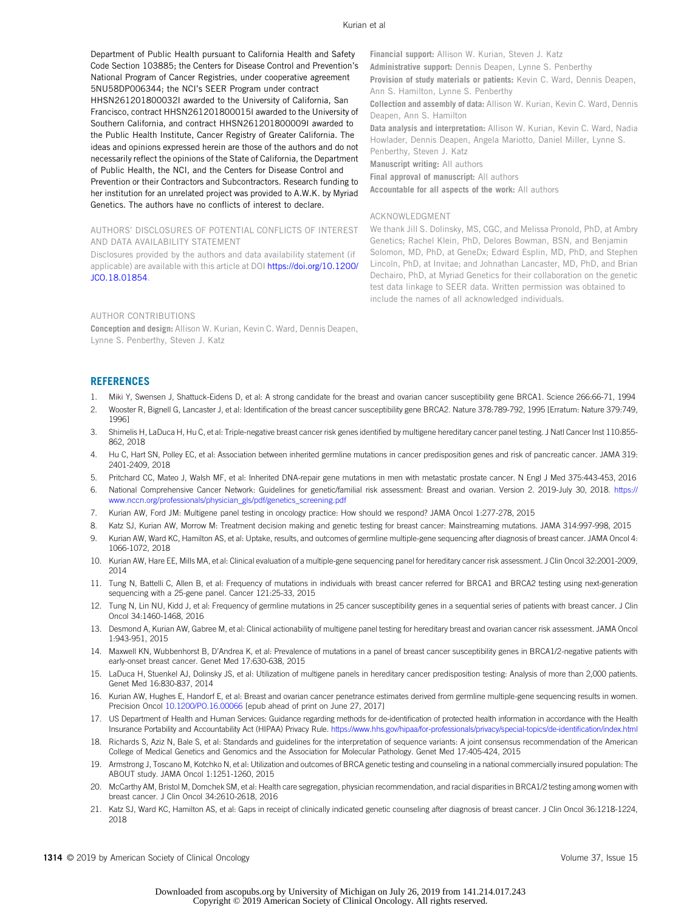<span id="page-9-0"></span>Department of Public Health pursuant to California Health and Safety Code Section 103885; the Centers for Disease Control and Prevention's National Program of Cancer Registries, under cooperative agreement 5NU58DP006344; the NCI's SEER Program under contract HHSN261201800032I awarded to the University of California, San Francisco, contract HHSN261201800015I awarded to the University of Southern California, and contract HHSN261201800009I awarded to the Public Health Institute, Cancer Registry of Greater California. The ideas and opinions expressed herein are those of the authors and do not necessarily reflect the opinions of the State of California, the Department of Public Health, the NCI, and the Centers for Disease Control and Prevention or their Contractors and Subcontractors. Research funding to her institution for an unrelated project was provided to A.W.K. by Myriad Genetics. The authors have no conflicts of interest to declare.

AUTHORS' DISCLOSURES OF POTENTIAL CONFLICTS OF INTEREST AND DATA AVAILABILITY STATEMENT

Disclosures provided by the authors and data availability statement (if applicable) are available with this article at DOI [https://doi.org/10.1200/](http://ascopubs.org/doi/full/10.1200/JCO.18.01854) [JCO.18.01854.](http://ascopubs.org/doi/full/10.1200/JCO.18.01854)

Financial support: Allison W. Kurian, Steven J. Katz Administrative support: Dennis Deapen, Lynne S. Penberthy

Provision of study materials or patients: Kevin C. Ward, Dennis Deapen, Ann S. Hamilton, Lynne S. Penberthy

Collection and assembly of data: Allison W. Kurian, Kevin C. Ward, Dennis Deapen, Ann S. Hamilton

Data analysis and interpretation: Allison W. Kurian, Kevin C. Ward, Nadia Howlader, Dennis Deapen, Angela Mariotto, Daniel Miller, Lynne S. Penberthy, Steven J. Katz

Manuscript writing: All authors

Final approval of manuscript: All authors

Accountable for all aspects of the work: All authors

#### ACKNOWLEDGMENT

We thank Jill S. Dolinsky, MS, CGC, and Melissa Pronold, PhD, at Ambry Genetics; Rachel Klein, PhD, Delores Bowman, BSN, and Benjamin Solomon, MD, PhD, at GeneDx; Edward Esplin, MD, PhD, and Stephen Lincoln, PhD, at Invitae; and Johnathan Lancaster, MD, PhD, and Brian Dechairo, PhD, at Myriad Genetics for their collaboration on the genetic test data linkage to SEER data. Written permission was obtained to include the names of all acknowledged individuals.

#### AUTHOR CONTRIBUTIONS

Conception and design: Allison W. Kurian, Kevin C. Ward, Dennis Deapen, Lynne S. Penberthy, Steven J. Katz

#### REFERENCES

- 1. Miki Y, Swensen J, Shattuck-Eidens D, et al: A strong candidate for the breast and ovarian cancer susceptibility gene BRCA1. Science 266:66-71, 1994
- 2. Wooster R, Bignell G, Lancaster J, et al: Identification of the breast cancer susceptibility gene BRCA2. Nature 378:789-792, 1995 [Erratum: Nature 379:749, 1996]
- 3. Shimelis H, LaDuca H, Hu C, et al: Triple-negative breast cancer risk genes identified by multigene hereditary cancer panel testing. J Natl Cancer Inst 110:855- 862, 2018
- 4. Hu C, Hart SN, Polley EC, et al: Association between inherited germline mutations in cancer predisposition genes and risk of pancreatic cancer. JAMA 319: 2401-2409, 2018
- 5. Pritchard CC, Mateo J, Walsh MF, et al: Inherited DNA-repair gene mutations in men with metastatic prostate cancer. N Engl J Med 375:443-453, 2016
- 6. National Comprehensive Cancer Network: Guidelines for genetic/familial risk assessment: Breast and ovarian. Version 2. 2019-July 30, 2018. [https://](https://www.nccn.org/professionals/physician_gls/pdf/genetics_screening.pdf) [www.nccn.org/professionals/physician\\_gls/pdf/genetics\\_screening.pdf](https://www.nccn.org/professionals/physician_gls/pdf/genetics_screening.pdf)
- 7. Kurian AW, Ford JM: Multigene panel testing in oncology practice: How should we respond? JAMA Oncol 1:277-278, 2015
- 8. Katz SJ, Kurian AW, Morrow M: Treatment decision making and genetic testing for breast cancer: Mainstreaming mutations. JAMA 314:997-998, 2015
- 9. Kurian AW, Ward KC, Hamilton AS, et al: Uptake, results, and outcomes of germline multiple-gene sequencing after diagnosis of breast cancer. JAMA Oncol 4: 1066-1072, 2018
- 10. Kurian AW, Hare EE, Mills MA, et al: Clinical evaluation of a multiple-gene sequencing panel for hereditary cancer risk assessment. J Clin Oncol 32:2001-2009, 2014
- 11. Tung N, Battelli C, Allen B, et al: Frequency of mutations in individuals with breast cancer referred for BRCA1 and BRCA2 testing using next-generation sequencing with a 25-gene panel. Cancer 121:25-33, 2015
- 12. Tung N, Lin NU, Kidd J, et al: Frequency of germline mutations in 25 cancer susceptibility genes in a sequential series of patients with breast cancer. J Clin Oncol 34:1460-1468, 2016
- 13. Desmond A, Kurian AW, Gabree M, et al: Clinical actionability of multigene panel testing for hereditary breast and ovarian cancer risk assessment. JAMA Oncol 1:943-951, 2015
- 14. Maxwell KN, Wubbenhorst B, D'Andrea K, et al: Prevalence of mutations in a panel of breast cancer susceptibility genes in BRCA1/2-negative patients with early-onset breast cancer. Genet Med 17:630-638, 2015
- 15. LaDuca H, Stuenkel AJ, Dolinsky JS, et al: Utilization of multigene panels in hereditary cancer predisposition testing: Analysis of more than 2,000 patients. Genet Med 16:830-837, 2014
- 16. Kurian AW, Hughes E, Handorf E, et al: Breast and ovarian cancer penetrance estimates derived from germline multiple-gene sequencing results in women. Precision Oncol [10.1200/PO.16.00066](http://ascopubs.org/doi/full/10.1200/PO.16.00066) [epub ahead of print on June 27, 2017]
- 17. US Department of Health and Human Services: Guidance regarding methods for de-identification of protected health information in accordance with the Health Insurance Portability and Accountability Act (HIPAA) Privacy Rule. [https://www.hhs.gov/hipaa/for-professionals/privacy/special-topics/de-identi](https://www.hhs.gov/hipaa/for-professionals/privacy/special-topics/de-identification/index.html)fication/index.html
- 18. Richards S, Aziz N, Bale S, et al: Standards and guidelines for the interpretation of sequence variants: A joint consensus recommendation of the American College of Medical Genetics and Genomics and the Association for Molecular Pathology. Genet Med 17:405-424, 2015
- 19. Armstrong J, Toscano M, Kotchko N, et al: Utilization and outcomes of BRCA genetic testing and counseling in a national commercially insured population: The ABOUT study. JAMA Oncol 1:1251-1260, 2015
- 20. McCarthy AM, Bristol M, Domchek SM, et al: Health care segregation, physician recommendation, and racial disparities in BRCA1/2 testing among women with breast cancer. J Clin Oncol 34:2610-2618, 2016
- 21. Katz SJ, Ward KC, Hamilton AS, et al: Gaps in receipt of clinically indicated genetic counseling after diagnosis of breast cancer. J Clin Oncol 36:1218-1224, 2018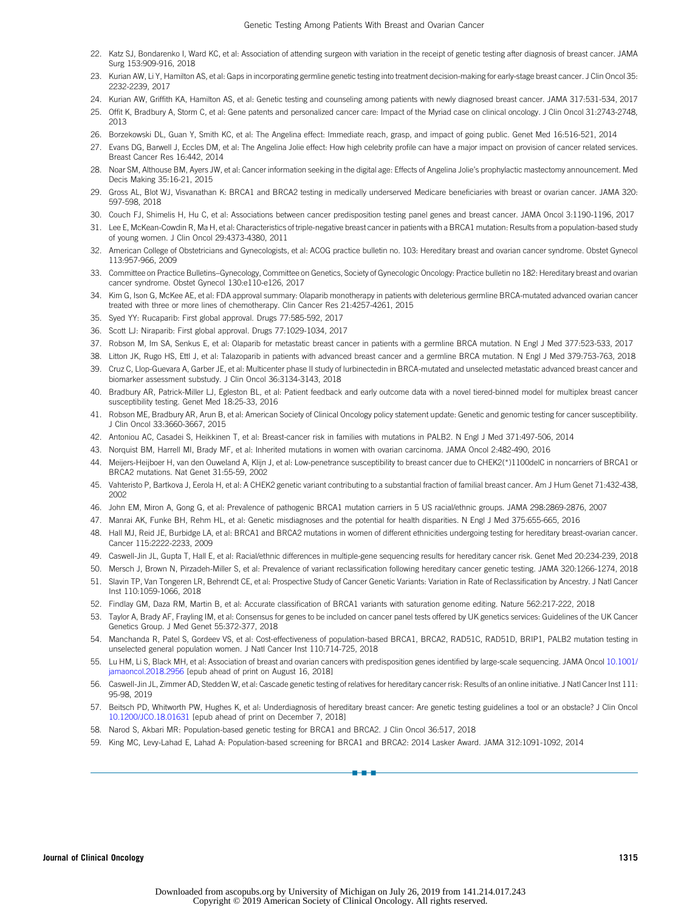- <span id="page-10-0"></span>22. Katz SJ, Bondarenko I, Ward KC, et al: Association of attending surgeon with variation in the receipt of genetic testing after diagnosis of breast cancer. JAMA Surg 153:909-916, 2018
- 23. Kurian AW, Li Y, Hamilton AS, et al: Gaps in incorporating germline genetic testing into treatment decision-making for early-stage breast cancer. J Clin Oncol 35: 2232-2239, 2017
- 24. Kurian AW, Griffith KA, Hamilton AS, et al: Genetic testing and counseling among patients with newly diagnosed breast cancer. JAMA 317:531-534, 2017
- 25. Offit K, Bradbury A, Storm C, et al: Gene patents and personalized cancer care: Impact of the Myriad case on clinical oncology. J Clin Oncol 31:2743-2748, 2013
- 26. Borzekowski DL, Guan Y, Smith KC, et al: The Angelina effect: Immediate reach, grasp, and impact of going public. Genet Med 16:516-521, 2014
- 27. Evans DG, Barwell J, Eccles DM, et al: The Angelina Jolie effect: How high celebrity profile can have a major impact on provision of cancer related services. Breast Cancer Res 16:442, 2014
- 28. Noar SM, Althouse BM, Ayers JW, et al: Cancer information seeking in the digital age: Effects of Angelina Jolie's prophylactic mastectomy announcement. Med Decis Making 35:16-21, 2015
- 29. Gross AL, Blot WJ, Visvanathan K: BRCA1 and BRCA2 testing in medically underserved Medicare beneficiaries with breast or ovarian cancer. JAMA 320: 597-598, 2018
- 30. Couch FJ, Shimelis H, Hu C, et al: Associations between cancer predisposition testing panel genes and breast cancer. JAMA Oncol 3:1190-1196, 2017
- 31. Lee E, McKean-Cowdin R, Ma H, et al: Characteristics of triple-negative breast cancer in patients with a BRCA1 mutation: Results from a population-based study of young women. J Clin Oncol 29:4373-4380, 2011
- 32. American College of Obstetricians and Gynecologists, et al: ACOG practice bulletin no. 103: Hereditary breast and ovarian cancer syndrome. Obstet Gynecol 113:957-966, 2009
- 33. Committee on Practice Bulletins–Gynecology, Committee on Genetics, Society of Gynecologic Oncology: Practice bulletin no 182: Hereditary breast and ovarian cancer syndrome. Obstet Gynecol 130:e110-e126, 2017
- 34. Kim G, Ison G, McKee AE, et al: FDA approval summary: Olaparib monotherapy in patients with deleterious germline BRCA-mutated advanced ovarian cancer treated with three or more lines of chemotherapy. Clin Cancer Res 21:4257-4261, 2015
- 35. Syed YY: Rucaparib: First global approval. Drugs 77:585-592, 2017
- 36. Scott LJ: Niraparib: First global approval. Drugs 77:1029-1034, 2017
- 37. Robson M, Im SA, Senkus E, et al: Olaparib for metastatic breast cancer in patients with a germline BRCA mutation. N Engl J Med 377:523-533, 2017
- 38. Litton JK, Rugo HS, Ettl J, et al: Talazoparib in patients with advanced breast cancer and a germline BRCA mutation. N Engl J Med 379:753-763, 2018
- 39. Cruz C, Llop-Guevara A, Garber JE, et al: Multicenter phase II study of lurbinectedin in BRCA-mutated and unselected metastatic advanced breast cancer and biomarker assessment substudy. J Clin Oncol 36:3134-3143, 2018
- 40. Bradbury AR, Patrick-Miller LJ, Egleston BL, et al: Patient feedback and early outcome data with a novel tiered-binned model for multiplex breast cancer susceptibility testing. Genet Med 18:25-33, 2016
- 41. Robson ME, Bradbury AR, Arun B, et al: American Society of Clinical Oncology policy statement update: Genetic and genomic testing for cancer susceptibility. J Clin Oncol 33:3660-3667, 2015
- 42. Antoniou AC, Casadei S, Heikkinen T, et al: Breast-cancer risk in families with mutations in PALB2. N Engl J Med 371:497-506, 2014
- 43. Norquist BM, Harrell MI, Brady MF, et al: Inherited mutations in women with ovarian carcinoma. JAMA Oncol 2:482-490, 2016
- 44. Meijers-Heijboer H, van den Ouweland A, Klijn J, et al: Low-penetrance susceptibility to breast cancer due to CHEK2(\*)1100delC in noncarriers of BRCA1 or BRCA2 mutations. Nat Genet 31:55-59, 2002
- 45. Vahteristo P, Bartkova J, Eerola H, et al: A CHEK2 genetic variant contributing to a substantial fraction of familial breast cancer. Am J Hum Genet 71:432-438, 2002
- 46. John EM, Miron A, Gong G, et al: Prevalence of pathogenic BRCA1 mutation carriers in 5 US racial/ethnic groups. JAMA 298:2869-2876, 2007
- 47. Manrai AK, Funke BH, Rehm HL, et al: Genetic misdiagnoses and the potential for health disparities. N Engl J Med 375:655-665, 2016
- 48. Hall MJ, Reid JE, Burbidge LA, et al: BRCA1 and BRCA2 mutations in women of different ethnicities undergoing testing for hereditary breast-ovarian cancer. Cancer 115:2222-2233, 2009
- 49. Caswell-Jin JL, Gupta T, Hall E, et al: Racial/ethnic differences in multiple-gene sequencing results for hereditary cancer risk. Genet Med 20:234-239, 2018
- 50. Mersch J, Brown N, Pirzadeh-Miller S, et al: Prevalence of variant reclassification following hereditary cancer genetic testing. JAMA 320:1266-1274, 2018
- 51. Slavin TP, Van Tongeren LR, Behrendt CE, et al: Prospective Study of Cancer Genetic Variants: Variation in Rate of Reclassification by Ancestry. J Natl Cancer Inst 110:1059-1066, 2018
- 52. Findlay GM, Daza RM, Martin B, et al: Accurate classification of BRCA1 variants with saturation genome editing. Nature 562:217-222, 2018
- 53. Taylor A, Brady AF, Frayling IM, et al: Consensus for genes to be included on cancer panel tests offered by UK genetics services: Guidelines of the UK Cancer Genetics Group. J Med Genet 55:372-377, 2018
- 54. Manchanda R, Patel S, Gordeev VS, et al: Cost-effectiveness of population-based BRCA1, BRCA2, RAD51C, RAD51D, BRIP1, PALB2 mutation testing in unselected general population women. J Natl Cancer Inst 110:714-725, 2018
- 55. Lu HM, Li S, Black MH, et al: Association of breast and ovarian cancers with predisposition genes identified by large-scale sequencing. JAMA Oncol [10.1001/](http://dx.doi.org/10.1001/jamaoncol.2018.2956) [jamaoncol.2018.2956](http://dx.doi.org/10.1001/jamaoncol.2018.2956) [epub ahead of print on August 16, 2018]
- 56. Caswell-Jin JL, Zimmer AD, Stedden W, et al: Cascade genetic testing of relatives for hereditary cancer risk: Results of an online initiative. J Natl Cancer Inst 111: 95-98, 2019
- 57. Beitsch PD, Whitworth PW, Hughes K, et al: Underdiagnosis of hereditary breast cancer: Are genetic testing guidelines a tool or an obstacle? J Clin Oncol [10.1200/JCO.18.01631](http://ascopubs.org/doi/full/10.1200/JCO.18.01631) [epub ahead of print on December 7, 2018]

a-a-a

- 58. Narod S, Akbari MR: Population-based genetic testing for BRCA1 and BRCA2. J Clin Oncol 36:517, 2018
- 59. King MC, Levy-Lahad E, Lahad A: Population-based screening for BRCA1 and BRCA2: 2014 Lasker Award. JAMA 312:1091-1092, 2014